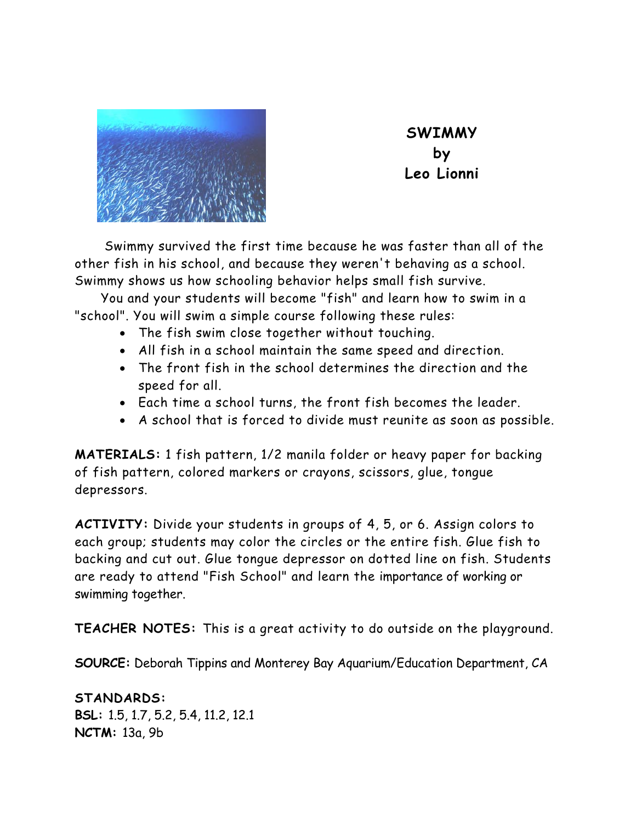

**SWIMMY by Leo Lionni** 

Swimmy survived the first time because he was faster than all of the other fish in his school, and because they weren't behaving as a school. Swimmy shows us how schooling behavior helps small fish survive.

You and your students will become "fish" and learn how to swim in a "school". You will swim a simple course following these rules:

- The fish swim close together without touching.
- All fish in a school maintain the same speed and direction.
- The front fish in the school determines the direction and the speed for all.
- Each time a school turns, the front fish becomes the leader.
- A school that is forced to divide must reunite as soon as possible.

**MATERIALS:** 1 fish pattern, 1/2 manila folder or heavy paper for backing of fish pattern, colored markers or crayons, scissors, glue, tongue depressors.

**ACTIVITY:** Divide your students in groups of 4, 5, or 6. Assign colors to each group; students may color the circles or the entire fish. Glue fish to backing and cut out. Glue tongue depressor on dotted line on fish. Students are ready to attend "Fish School" and learn the importance of working or swimming together.

**TEACHER NOTES:** This is a great activity to do outside on the playground.

**SOURCE:** Deborah Tippins and Monterey Bay Aquarium/Education Department, CA

**STANDARDS: BSL:** 1.5, 1.7, 5.2, 5.4, 11.2, 12.1 **NCTM:** 13a, 9b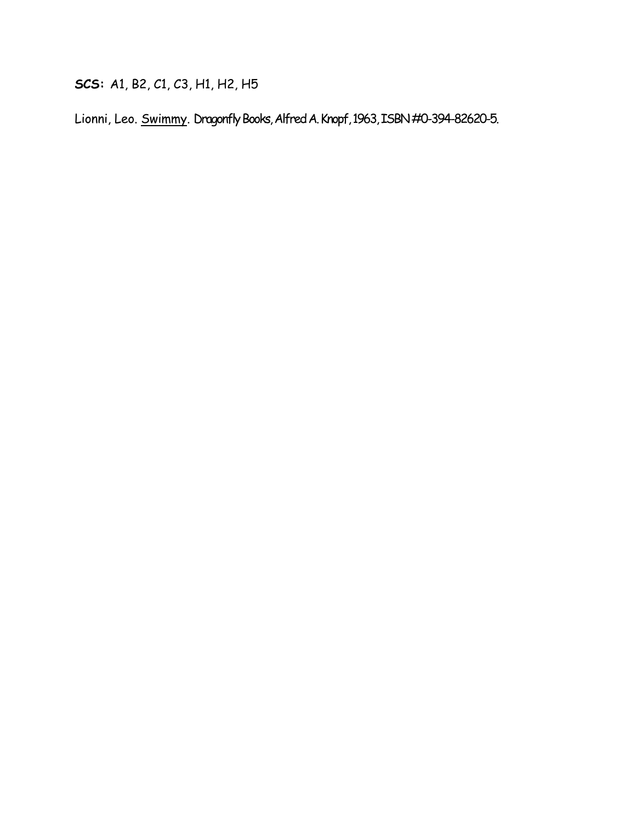**SCS:** A1, B2, C1, C3, H1, H2, H5

Lionni, Leo. Swimmy. Dragonfly Books, Alfred A. Knopf, 1963, ISBN #0-394-82620-5.